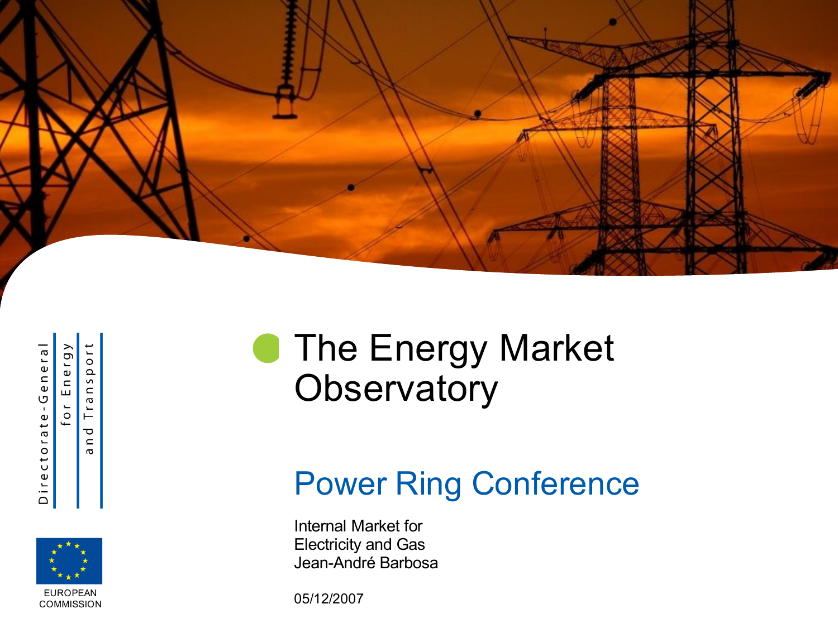

Directorate-General

Energy  $110$  $\overline{\mathbf{a}}$  $\overline{0}$  $\sigma$ 

 $\overline{v}$  $\subset$  $Tra$ ᠊ᠣ  $\mathrel{\mathop{\mathsf{c}}\nolimits}$ 



#### **The Energy Market Observatory**

#### Power Ring Conference

Internal Market for Electricity and Gas Jean-André Barbosa

05/12/2007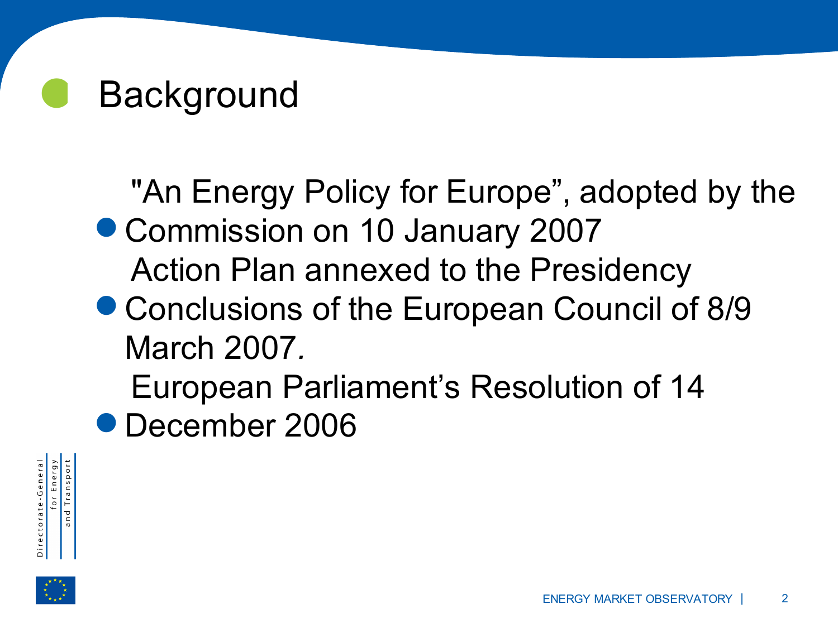# **Background**

. "An Energy Policy for Europe", adopted by the ● Commission on 10 January 2007<br>Action Plan annexed to the Presi<br>● Conclusions of the European Cou Action Plan annexed to the Presidency

- Conclusions of the European Council of 8/9 March 2007*.*
	- European Parliament's Resolution of 14
- ا<br>ا December 2006



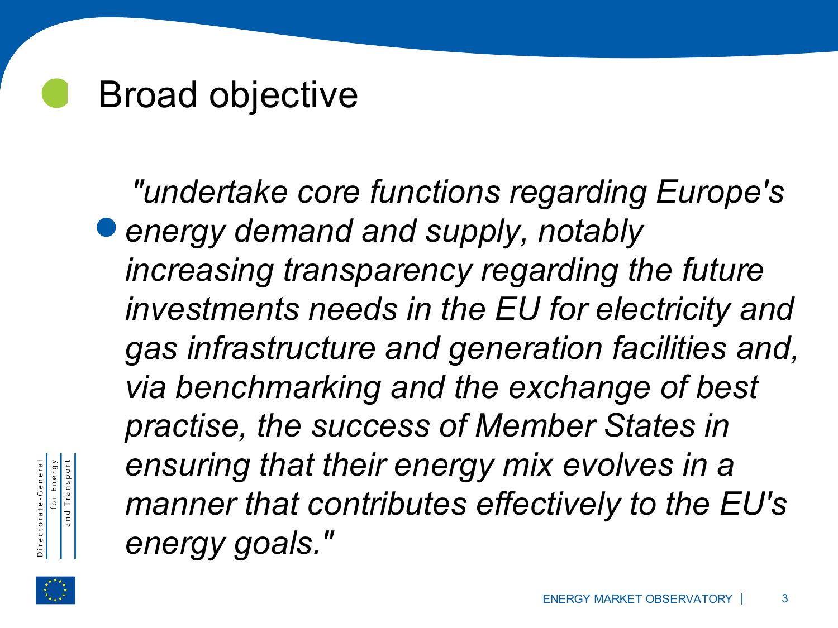# Broad objective

.<br>.<br>. *"undertake core functions regarding Europe's energy demand and supply, notably increasing transparency regarding the future investments needs in the EU for electricity and gas infrastructure and generation facilities and, via benchmarking and the exchange of best practise, the success of Member States in ensuring that their energy mix evolves in a manner that contributes effectively to the EU's energy goals."*



for Energy<br>and Transport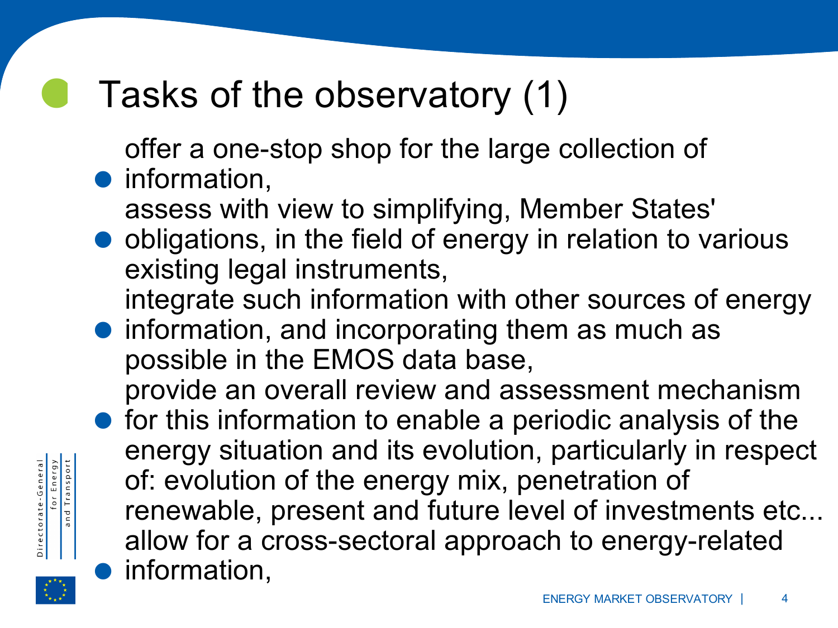# Tasks of the observatory (1)

offer a one-stop shop for the large collection of

- .<br>.<br>. information, . assess with view to simplifying, Member States'
- obligations, in the field of energy in relation to various existing legal instruments, .
	- integrate such information with other sources of energy
- information, and incorporating them as much as possible in the EMOS data base, . provide an overall review and assessment mechanism
- for this information to enable a periodic analysis of the energy situation and its evolution, particularly in respect of: evolution of the energy mix, penetration of renewable, present and future level of investments etc... . allow for a cross-sectoral approach to energy-related information,



for Energy<br>and Transport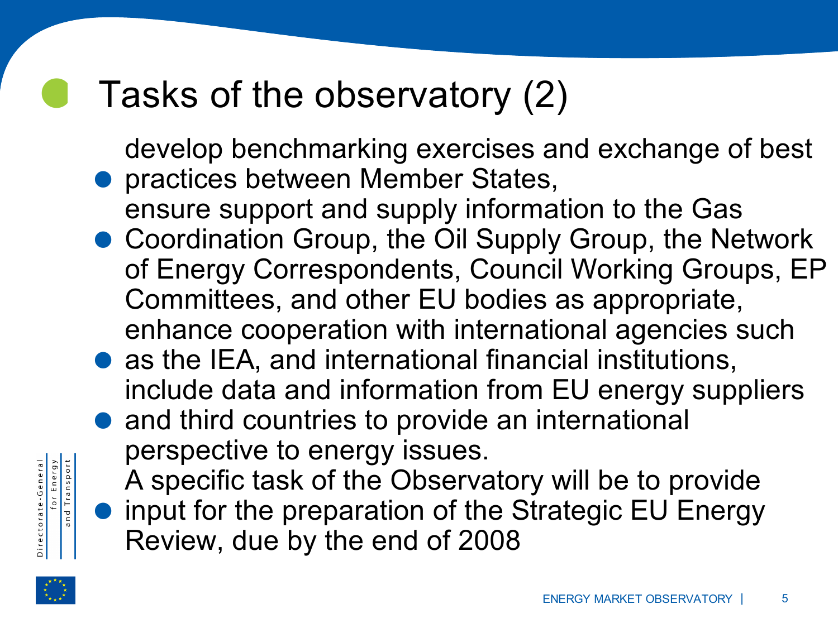# Tasks of the observatory (2) .<br>.<br>.

develop benchmarking exercises and exchange of best practices between Member States,

- ensure support and supply information to the Gas
- . Coordination Group, the Oil Supply Group, the Network of Energy Correspondents, Council Working Groups, EP Committees, and other EU bodies as appropriate, . enhance cooperation with international agencies such
- as the IEA, and international financial institutions, . include data and information from EU energy suppliers
	- and third countries to provide an international perspective to energy issues.
- . A specific task of the Observatory will be to provide input for the preparation of the Strategic EU Energy Review, due by the end of 2008



for Energy<br>and Transport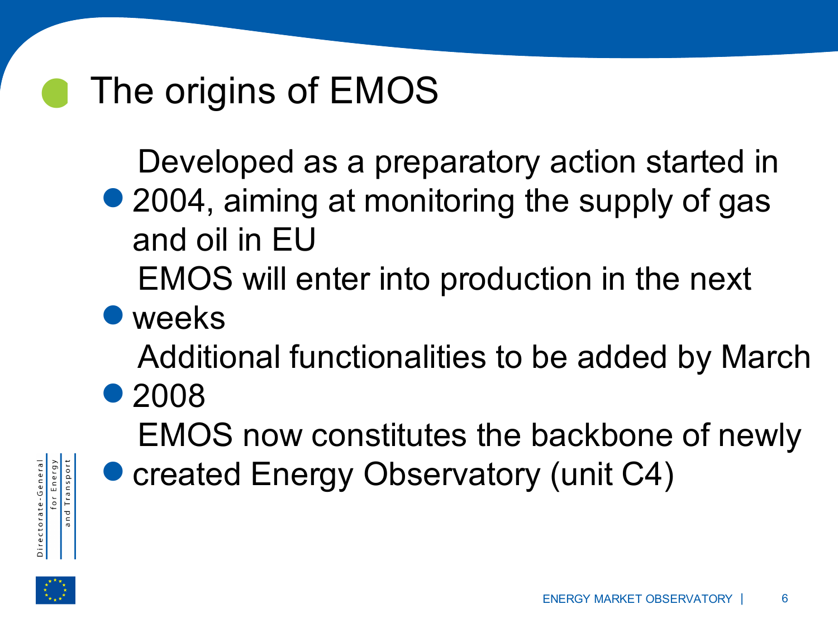# The origins of EMOS

Developed as a preparatory action started in

- ...<br>●2 2004, aiming at monitoring the supply of gas and oil in EU ة<br>ا •
	- EMOS will enter into production in the next
	-

Additional functionalities to be added by March

■ weeks<br>Addition<br>2008 ● 2008 .<br>.<br>.

EMOS now constitutes the backbone of newly

created Energy Observatory (unit C4)





for Energy<br>I Transport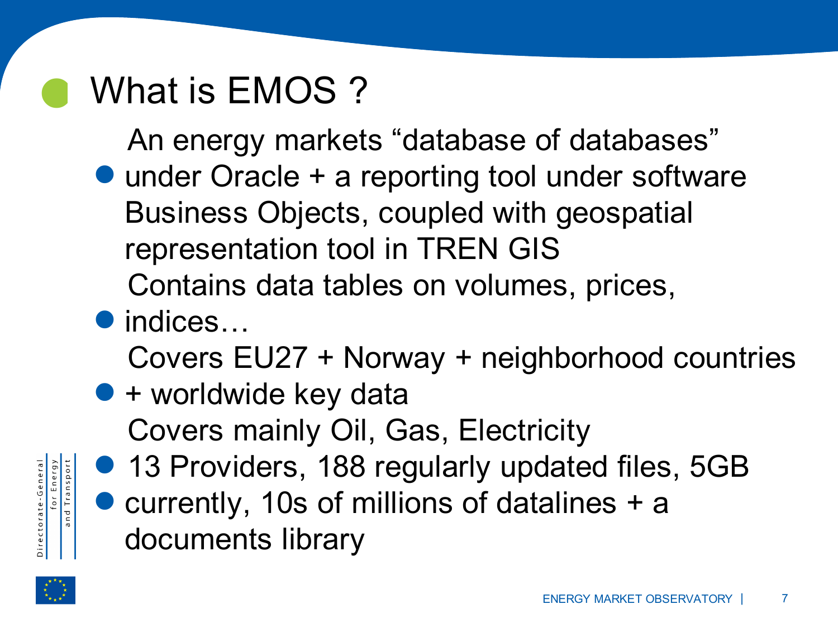## What is EMOS ?

An energy markets "database of databases"

- vv<br>. under Oracle + a reporting tool under software Business Objects, coupled with geospatial representation tool in TREN GIS .<br>.<br>● i
	- Contains data tables on volumes, prices,
	- indices…

Covers EU27 + Norway + neighborhood countries

- . + worldwide key data **.**<br>. Covers mainly Oil, Gas, Electricity
- . 13 Providers, 188 regularly updated files, 5GB for Energy<br>and Transport currently, 10s of millions of datalines + a documents library

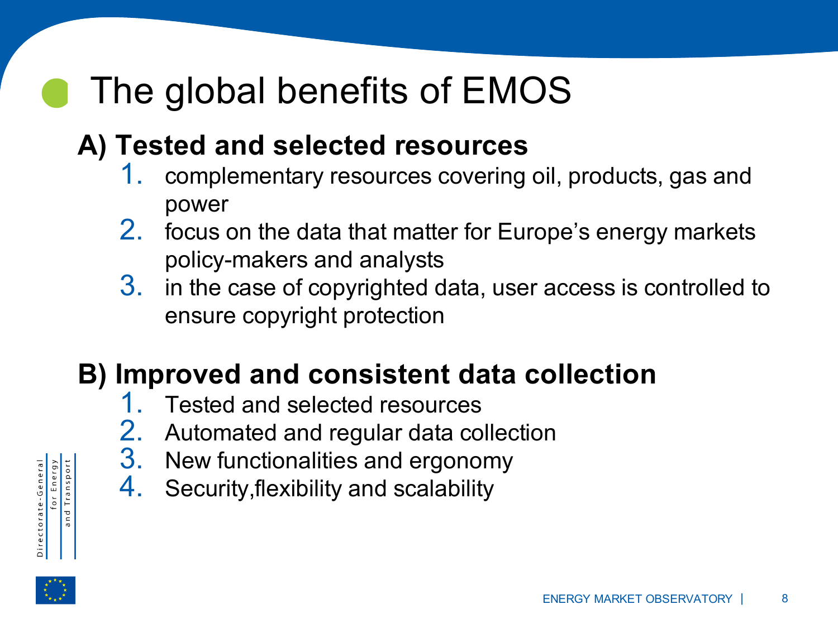#### $\bullet$ The global benefits of EMOS

#### **A) Tested and selected resources**

- 1. complementary resources covering oil, products, gas and power
- 2. focus on the data that matter for Europe's energy markets policy-makers and analysts
- 3. in the case of copyrighted data, user access is controlled to ensure copyright protection

#### **B) Improved and consistent data collection**

- 1. Tested and selected resources
- 2. Automated and regular data collection
- 3. New functionalities and ergonomy
- 4. Security,flexibility and scalability



for Energy<br>and Transport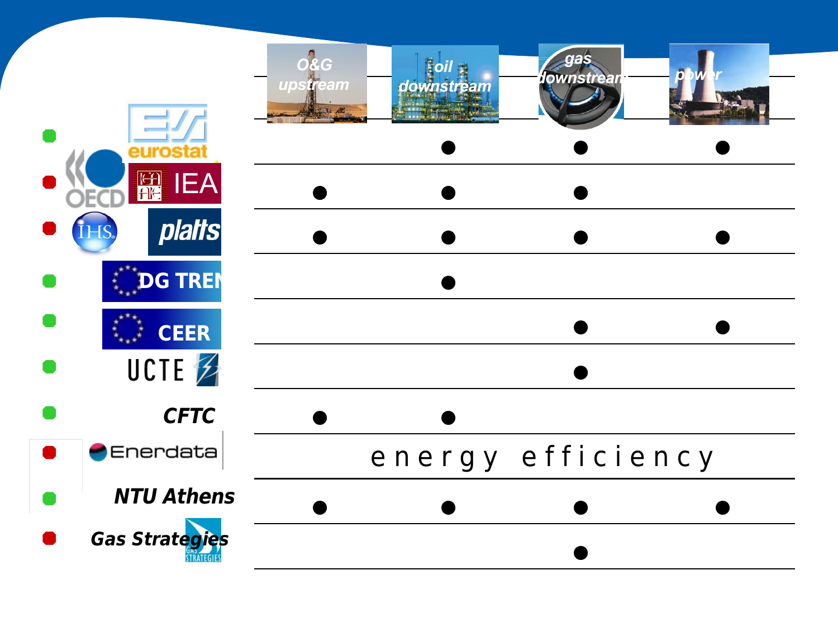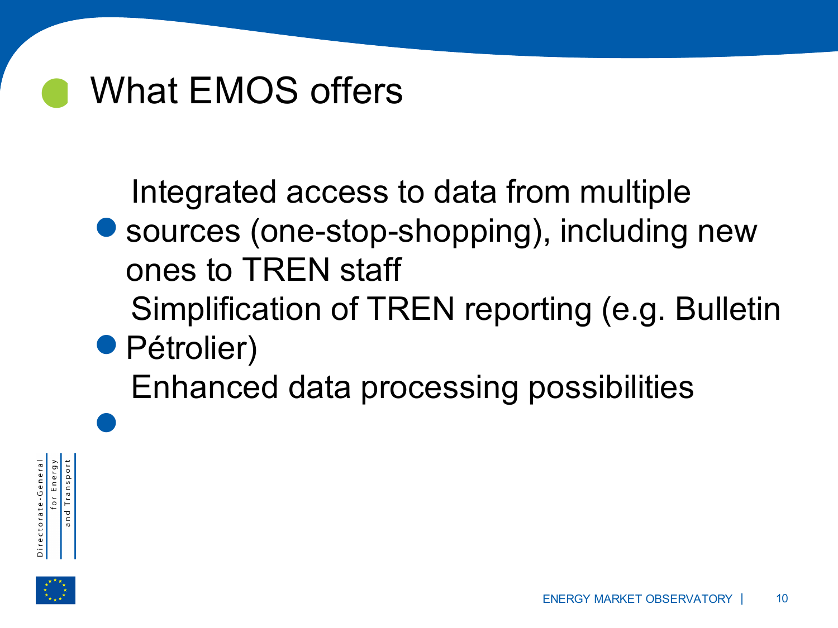# What EMOS offers

Integrated access to data from multiple

- .<br>.<br>. sources (one-stop-shopping), including new ones to TREN staff **.**<br>اه
	- Simplification of TREN reporting (e.g. Bulletin
- Pétrolier)<br>Enhance

Enhanced data processing possibilities



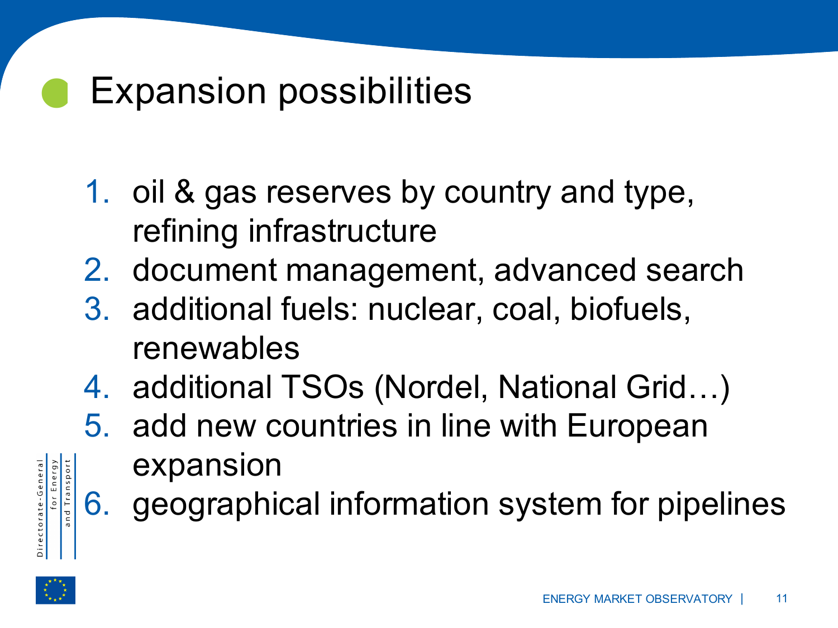# Expansion possibilities

- 1. oil & gas reserves by country and type, refining infrastructure
- 2. document management, advanced search
- 3. additional fuels: nuclear, coal, biofuels, renewables
- 4. additional TSOs (Nordel, National Grid…)
- 5. add new countries in line with European expansion
- 6. geographical information system for pipelines



for Energy<br>and Transport